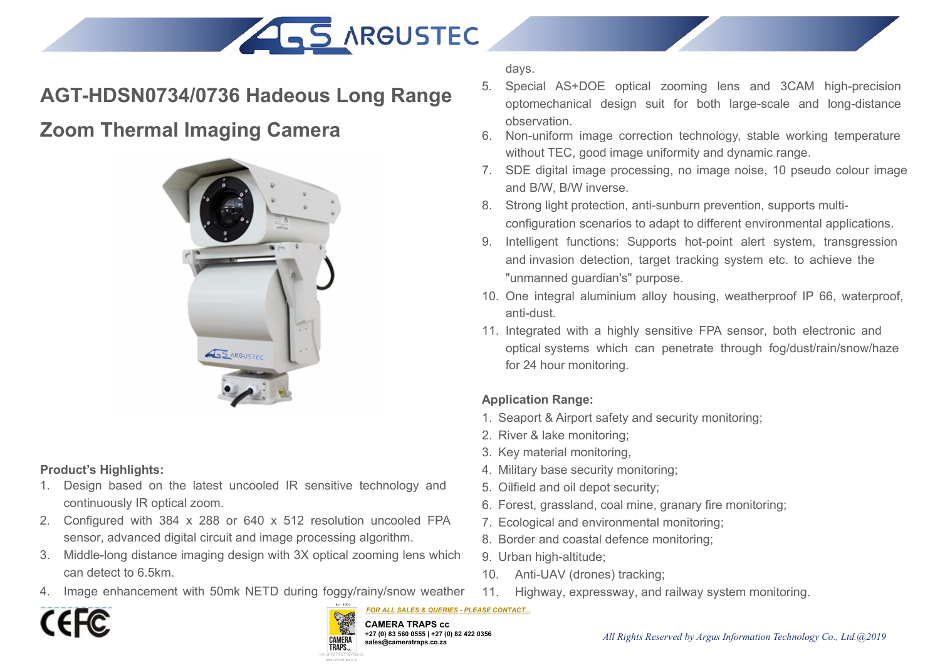



- 1. Design based on the latest uncooled IR sensitive technology and continuously IR optical zoom.
- 2. Configured with 384 x 288 or 640 x 512 resolution uncooled FPA sensor, advanced digital circuit and image processing algorithm.
- 3. Middle-long distance imaging design with 3X optical zooming lens which can detect to 6.5km.
- 4. Image enhancement with 50mk NETD during foggy/rainy/snow weather



*FOR ALL SALES & QUERIES - PLEASE CONTACT...***CAMERA TRAPS cc +27 (0) 83 560 0555 | +27 (0) 82 422 0356 sales@cameratraps.co.za TRAPS.** 

days.

- days.<br>
5. Special AS+DOE optical zooming lens and 3CAM high-precision<br>
optomechanical design suit for both large-scale and long-distance<br>
observation.<br>
6. Non-uniform image correction technology, stable working temperature days.<br>Special AS+DOE optical zooming lens and 3CAM high-precision<br>optomechanical design suit for both large-scale and long-distance<br>observation.<br>Non-uniform image correction technology, stable working temperature<br>without T observation.
- 6. Non-uniform image correction technology, stable working temperature without TEC, good image uniformity and dynamic range.
- 7. SDE digital image processing, no image noise, 10 pseudo colour image and B/W, B/W inverse.
- 8. Strong light protection, anti-sunburn prevention, supports multiconfiguration scenarios to adapt to different environmental applications.
- 9. Intelligent functions: Supports hot-point alert system, transgression and invasion detection, target tracking system etc. to achieve the "unmanned guardian's" purpose. Somigliation scenarios to adapt to difference of the Intelligent functions: Supports hot-point and invasion detection, target tracking sy "unmanned guardian's" purpose.<br>
10. One integral aluminium alloy housing, we anti-du
- 10. One integral aluminium alloy housing, weatherproof IP 66, waterproof, anti-dust.
- 11. Integrated with a highly sensitive FPA sensor, both electronic and optical systems which can penetrate through fog/dust/rain/snow/haze for 24 hour monitoring.

- 1. Seaport & Airport safety and security monitoring;
- 2. River & lake monitoring;
- 3. Key material monitoring,
- 4. Military base security monitoring;
- 5. Oilfield and oil depot security;
- 6. Forest, grassland, coal mine, granary fire monitoring;
- 7. Ecological and environmental monitoring;
- 8. Border and coastal defence monitoring;
- 9. Urban high-altitude;
- 10. Anti-UAV (drones) tracking;
- 11. Highway, expressway, and railway system monitoring.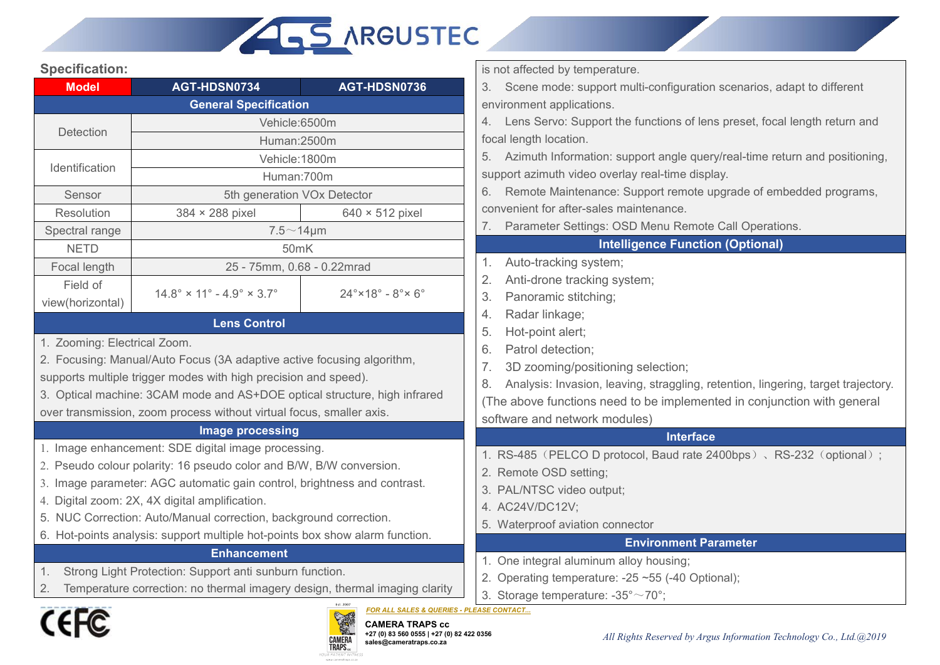

# **Specification:**

| <b>Specification:</b><br>AGT-HDSN0734<br><b>Model</b><br>Detection<br>Identification<br>Sensor<br>Resolution<br>384 × 288 pixel<br>Spectral range<br><b>NETD</b> | <b>ALS ARGUSTEC</b><br>AGT-HDSN0736<br><b>General Specification</b><br>Vehicle:6500m<br>Human:2500m<br>Vehicle: 1800m<br>Human:700m<br>5th generation VOx Detector<br>$640 \times 512$ pixel | is not affected by temperature.<br>Scene mode: support multi-configuration scenarios, adapt to different<br>3.<br>environment applications.<br>4. Lens Servo: Support the functions of lens preset, focal length return and<br>focal length location.<br>5. Azimuth Information: support angle query/real-time return and positioning,<br>support azimuth video overlay real-time display. |
|------------------------------------------------------------------------------------------------------------------------------------------------------------------|----------------------------------------------------------------------------------------------------------------------------------------------------------------------------------------------|--------------------------------------------------------------------------------------------------------------------------------------------------------------------------------------------------------------------------------------------------------------------------------------------------------------------------------------------------------------------------------------------|
|                                                                                                                                                                  |                                                                                                                                                                                              |                                                                                                                                                                                                                                                                                                                                                                                            |
|                                                                                                                                                                  |                                                                                                                                                                                              |                                                                                                                                                                                                                                                                                                                                                                                            |
|                                                                                                                                                                  |                                                                                                                                                                                              |                                                                                                                                                                                                                                                                                                                                                                                            |
|                                                                                                                                                                  |                                                                                                                                                                                              |                                                                                                                                                                                                                                                                                                                                                                                            |
|                                                                                                                                                                  |                                                                                                                                                                                              |                                                                                                                                                                                                                                                                                                                                                                                            |
|                                                                                                                                                                  |                                                                                                                                                                                              |                                                                                                                                                                                                                                                                                                                                                                                            |
|                                                                                                                                                                  |                                                                                                                                                                                              |                                                                                                                                                                                                                                                                                                                                                                                            |
|                                                                                                                                                                  |                                                                                                                                                                                              |                                                                                                                                                                                                                                                                                                                                                                                            |
|                                                                                                                                                                  |                                                                                                                                                                                              |                                                                                                                                                                                                                                                                                                                                                                                            |
|                                                                                                                                                                  |                                                                                                                                                                                              |                                                                                                                                                                                                                                                                                                                                                                                            |
|                                                                                                                                                                  |                                                                                                                                                                                              | Remote Maintenance: Support remote upgrade of embedded programs,<br>6.                                                                                                                                                                                                                                                                                                                     |
|                                                                                                                                                                  |                                                                                                                                                                                              | convenient for after-sales maintenance.                                                                                                                                                                                                                                                                                                                                                    |
|                                                                                                                                                                  |                                                                                                                                                                                              | Parameter Settings: OSD Menu Remote Call Operations.                                                                                                                                                                                                                                                                                                                                       |
|                                                                                                                                                                  | $7.5 \sim 14 \mu m$                                                                                                                                                                          | <b>Intelligence Function (Optional)</b>                                                                                                                                                                                                                                                                                                                                                    |
|                                                                                                                                                                  | 50mK                                                                                                                                                                                         | Auto-tracking system;                                                                                                                                                                                                                                                                                                                                                                      |
| Focal length                                                                                                                                                     | 25 - 75mm, 0.68 - 0.22mrad                                                                                                                                                                   | Anti-drone tracking system;<br>2.                                                                                                                                                                                                                                                                                                                                                          |
| Field of<br>$14.8^{\circ} \times 11^{\circ} - 4.9^{\circ} \times 3.7^{\circ}$                                                                                    | $24^\circ \times 18^\circ - 8^\circ \times 6^\circ$                                                                                                                                          | 3.<br>Panoramic stitching;                                                                                                                                                                                                                                                                                                                                                                 |
| view(horizontal)                                                                                                                                                 |                                                                                                                                                                                              | Radar linkage;<br>4.                                                                                                                                                                                                                                                                                                                                                                       |
|                                                                                                                                                                  | <b>Lens Control</b>                                                                                                                                                                          | Hot-point alert;<br>5.                                                                                                                                                                                                                                                                                                                                                                     |
| 1. Zooming: Electrical Zoom.                                                                                                                                     |                                                                                                                                                                                              | Patrol detection;<br>6.                                                                                                                                                                                                                                                                                                                                                                    |
| 2. Focusing: Manual/Auto Focus (3A adaptive active focusing algorithm,                                                                                           |                                                                                                                                                                                              | 3D zooming/positioning selection;                                                                                                                                                                                                                                                                                                                                                          |
| supports multiple trigger modes with high precision and speed).                                                                                                  |                                                                                                                                                                                              | Analysis: Invasion, leaving, straggling, retention, lingering, target trajectory.<br>8.                                                                                                                                                                                                                                                                                                    |
| 3. Optical machine: 3CAM mode and AS+DOE optical structure, high infrared                                                                                        |                                                                                                                                                                                              | (The above functions need to be implemented in conjunction with general                                                                                                                                                                                                                                                                                                                    |
| over transmission, zoom process without virtual focus, smaller axis.                                                                                             |                                                                                                                                                                                              | software and network modules)                                                                                                                                                                                                                                                                                                                                                              |
|                                                                                                                                                                  | <b>Image processing</b>                                                                                                                                                                      | <b>Interface</b>                                                                                                                                                                                                                                                                                                                                                                           |
| 1. Image enhancement: SDE digital image processing.                                                                                                              |                                                                                                                                                                                              | 1. RS-485 (PELCO D protocol, Baud rate 2400bps), RS-232 (optional);                                                                                                                                                                                                                                                                                                                        |
| 2. Pseudo colour polarity: 16 pseudo color and B/W, B/W conversion.<br>3. Image parameter: AGC automatic gain control, brightness and contrast.                  |                                                                                                                                                                                              | 2. Remote OSD setting;                                                                                                                                                                                                                                                                                                                                                                     |
| 4. Digital zoom: 2X, 4X digital amplification.                                                                                                                   |                                                                                                                                                                                              | 3. PAL/NTSC video output;                                                                                                                                                                                                                                                                                                                                                                  |
| 5. NUC Correction: Auto/Manual correction, background correction.                                                                                                |                                                                                                                                                                                              | 4. AC24V/DC12V;                                                                                                                                                                                                                                                                                                                                                                            |
|                                                                                                                                                                  | 6. Hot-points analysis: support multiple hot-points box show alarm function.                                                                                                                 | 5. Waterproof aviation connector                                                                                                                                                                                                                                                                                                                                                           |
|                                                                                                                                                                  | <b>Enhancement</b>                                                                                                                                                                           | <b>Environment Parameter</b>                                                                                                                                                                                                                                                                                                                                                               |
| Strong Light Protection: Support anti sunburn function.                                                                                                          |                                                                                                                                                                                              | 1. One integral aluminum alloy housing;                                                                                                                                                                                                                                                                                                                                                    |
|                                                                                                                                                                  | Temperature correction: no thermal imagery design, thermal imaging clarity                                                                                                                   | 2. Operating temperature: -25 ~55 (-40 Optional);                                                                                                                                                                                                                                                                                                                                          |
|                                                                                                                                                                  |                                                                                                                                                                                              | 3. Storage temperature: $-35^{\circ} \sim 70^{\circ}$ ;<br>FOR ALL SALES & QUERIES - PLEASE CONTACT                                                                                                                                                                                                                                                                                        |
| <b>CEFC</b>                                                                                                                                                      | <b>ROAD</b><br><b>CAMERA TRAPS cc</b><br>+27 (0) 83 560 0555   +27 (0) 82 422 0356<br><b>CAMERA</b><br>TRAPS<br>sales@cameratraps.co.za<br>YOUR PATIENT WITNES:<br>www.cameratraps.co.       | All Rights Reserved by Argus Information Technology Co., Ltd.@2019                                                                                                                                                                                                                                                                                                                         |



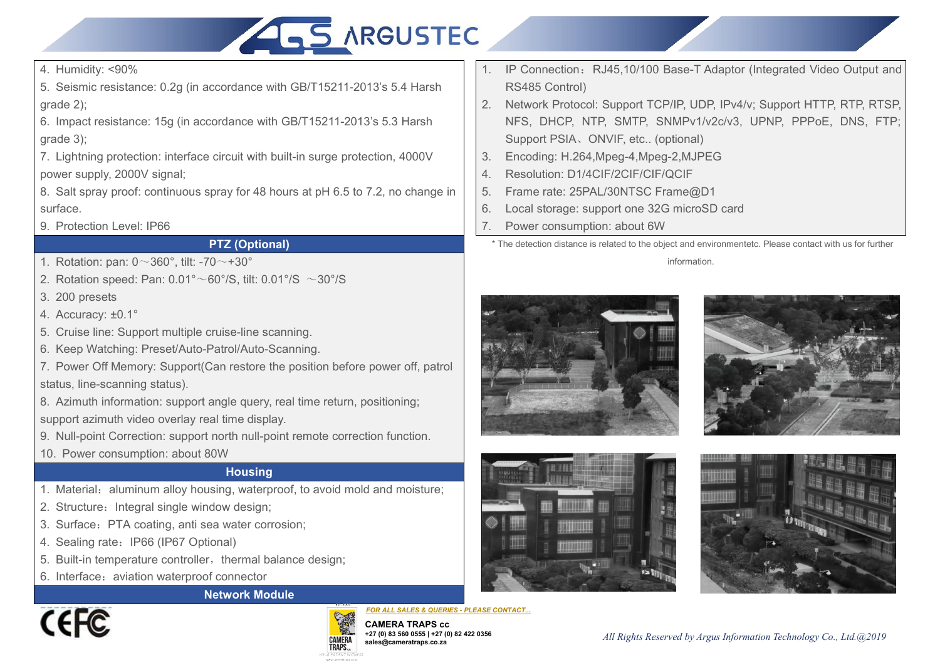

4. Humidity: <90%<br>5. Seismic resistance: 0.2g (in accordance with GB/T152<br>grade 2);<br>6. Impact resistance: 15g (in accordance with GB/T1521

4. Humidity: <90%<br>5. Seismic resistance: 0.2g (in accordance with GB/T15211-2013's 5.4 Harsh<br>grade 2);<br>6. Impact resistance: 15g (in accordance with GB/T15211-2013's 5.3 Harsh<br>grade 3);<br>9. Support PSIA 4. Humidity: <90%<br>5. Seismic resistance: 0.2g (in accordar<br>grade 2);<br>6. Impact resistance: 15g (in accordance<br>grade 3);<br>7. Lightning protection: interface circuit v 4. Humidity: <90%<br>
6. Seismic resistance: 0.2g (in accordance with GB/T15211-2013's 5.4 Harsh<br>
grade 2);<br>
6. Impact resistance: 15g (in accordance with GB/T15211-2013's 5.3 Harsh<br>
grade 3);<br>
7. Lightning protection: interf 4. Humidity: <90%<br>5. Seismic resistance: 0.2g (in accordar<br>grade 2);<br>6. Impact resistance: 15g (in accordanc<br>grade 3);<br>7. Lightning protection: interface circuit v<br>power supply, 2000V signal;<br>8. Salt spray proof: continuou 4. Humidity: <90%<br>
5. Seismic resistance: 0.2g (in accordance with GB/T18<br>
grade 2);<br>
6. Impact resistance: 15g (in accordance with GB/T152<br>
grade 3);<br>
7. Lightning protection: interface circuit with built-in surg<br>
power s 4. Humidity: <90%<br>
5. Seismic resistance: 0.2g (in accordance with GB/T1<br>
grade 2);<br>
6. Impact resistance: 15g (in accordance with GB/T15<br>
grade 3);<br>
7. Lightning protection: interface circuit with built-in su<br>
power supp ccordance with GB/T15211-2013's 5.4<br>
cordance with GB/T15211-2013's 5.3 H<br>
circuit with built-in surge protection, 4(<br>
pray for 48 hours at pH 6.5 to 7.2, no c<br> **PTZ (Optional)**<br>  $0 \sim +30^\circ$ <br>  $60^\circ$ /S, tilt:  $0.01^\circ$ /S  $\sim$ 9. B. Impact resistance: 0.29 (in accordance with GB/T15211-2013)<br>grade 2);<br>6. Impact resistance: 15g (in accordance with GB/T15211-2013);<br>grade 3);<br>7. Lightning protection: interface circuit with built-in surge protec<br>po

or impact resistance. Tog (in accordance<br>grade 3);<br>7. Lightning protection: interface circuit w<br>power supply, 2000V signal;<br>8. Salt spray proof: continuous spray for<br>surface.<br>9. Protection Level: IP66<br>**PTZ (Op**<br>1. Rotatio 7. Lightning protection: interface circuit with bui<br>power supply, 2000V signal;<br>8. Salt spray proof: continuous spray for 48 hou<br>surface.<br>9. Protection Level: IP66<br>**PTZ (Optional**<br>1. Rotation: pan:  $0 \sim 360^\circ$ , tilt: -70

4. Humidity: <90%<br>
5. Seismic resistance: 0.2g (in accordance with GB/T15211-2013's 5.4 Harsh<br>
grade 2);<br>
6. Impact resistance: 15g (in accordance with GB/T15211-2013's 5.3 Harsh<br>
grade 3);<br>
7. Lightning protection: interf 4. Humidity: <90%<br>
8. Seismic resistance: 0.2g (in accordance with GB/T15211-2013's 5.4 Harsh<br>
grade 2);<br>
6. Impact resistance: 15g (in accordance with GB/T15211-2013's 5.3 Harsh<br>
grade 3);<br>
7. Lightning protection: interf surface. 3. Rotation: particle circuit with GB/T15211-2013's 5.3 Harsh<br>
2. Rotate 3);<br>
2. Rightning protection: interface circuit with built-in surge protection, 4000V<br>
5. Salt spray proof: continuous spray for 48 hours at pH 6.5

- 
- 
- 
- 
- 
- 

5. Eignamig procedum: incrided endait war buttle that in dage procedum, 4000 power supply, 2000V signal;<br>8. Salt spray proof: continuous spray for 48 hours at pH 6.5 to 7.2, no chang<br>surface.<br>9. Protection Level: IP66<br>**PT** bower sappry, 2000 v signar,<br>
8. Salt spray proof: continuous spray for 48 hours at pH 6.5 to 7.2<br>
surface.<br>
9. Protection Level: IP66<br> **PTZ (Optional)**<br>
1. Rotation: pan:  $0 \sim 360^{\circ}$ , tilt:  $-70 \sim +30^{\circ}$ <br>
2. Rotation 9. Protection Level: IP66<br> **PTZ (Optional)**<br>
1. Rotation: pan:  $0 \sim 360^\circ$ , tilt: -70 $\sim +30^\circ$ <br>
2. Rotation speed: Pan:  $0.01^\circ \sim 60^\circ$ /S, tilt:  $0.01^\circ$ /S  $\sim 30^\circ$ <br>
3. 200 presets<br>
4. Accuracy:  $\pm 0.1^\circ$ <br>
5. Cruise lin **PTZ (Optional)**<br> **PTZ (Optional)**<br> **PTZ (Optional)**<br> **PTZ (Optional)**<br> **CRECODE ADDED TO THE THE SCALUATION TO THE THE SCALUATION TO THE HERE ALEXANDS 3. 200 presets<br>
4. Accuracy: ±0.1°<br>
5. Cruise line: Support multiple** 1. Rotation: pan:  $0 \sim 360^{\circ}$ , tilt: -70 $\sim +30^{\circ}$ <br>
2. Rotation speed: Pan:  $0.01^{\circ} \sim 60^{\circ}/S$ , tilt:  $0.01^{\circ}/S \sim 30^{\circ}/S$ <br>
3. 200 presets<br>
4. Accuracy:  $\pm 0.1^{\circ}$ <br>
5. Cruise line: Support multiple cruise-line sca 2. Rotation speed. Fan. 0.01<sup>-1</sup>-0075, tit. 0.0175<sup>-1</sup>-0075<br>
3. 200 presets<br>
4. Accuracy: ±0.1°<br>
5. Cruise line: Support multiple cruise-line scanning.<br>
6. Keep Watching: Preset/Auto-Patrol/Auto-Scanning.<br>
7. Power Off Mem 1. Procedury. E. The Script Christian Script Christmas Cruise line scanning.<br>
1. Material: Support Memory: Support (Can restore the position before power off, patrol<br>
status, line-scanning status).<br>
1. Azimuth information: 2. Structure: Complete Mathemateur Charles-Mine Scanning.<br>2. Neep Watching: Preset/Auto-Patrol/Auto-Scanning.<br>2. Power Off Memory: Support(Can restore the position before power c<br>status, line-scanning status).<br>3. Azimuth i 3. Note The Internation and the position before power off, p<br>3. Nower Off Memory: Support(Can restore the position before power off, p<br>3. Azimuth information: support angle query, real time return, positioning;<br>3. Null-poi

1. Tower on memory: cupport (can restort to positor) before the status, line-scanning status).<br>
8. Azimuth information: support angle query, real time return, proport azimuth video overlay real time display.<br>
9. Null-point S. Azimuth information: support angle query, real time return, positioning;<br>
S. Azimuth video overlay real time display.<br>
9. Null-point Correction: support north null-point remote correction function.<br>
10. Power consumptio 6. Interface: The Connection waterproof connector<br>
10. Power consumption: support angle decity, idea and connection f<br>
10. Power consumption: about 80W<br>
10. Power consumption: about 80W<br>
10. Power consumption: about 80W<br>
1

- t north null-point remote correction function<br>
80W<br> **Housing**<br>
using, waterproof, to avoid mold and moist<br>
ndow design;<br>
sea water corrosion;<br>
tional)<br>
r, thermal balance design;<br> **OF COMERA TRAFT COMERA TRAFT COMERA TRAFT**
- 

# **Housing**

- 
- 
- 
- 
- 
- 





*FOR ALL SALES & QUERIES - PLEASE CONTACT...*

**CAMERA TRAPS cc +27 (0) 83 560 0555 | +27 (0) 82 422 0356 sales@cameratraps.co.za**

- 
- 1. IP Connection: RJ45,10/100 Base-T Adaptor (Integrated Video Output and<br>RS485 Control)<br>2. Network Protocol: Support TCP/IP, UDP, IPv4/v; Support HTTP, RTP, RTSP,<br>NFS, DHCP, NTP, SMTP, SNMPv1/v2c/v3, UPNP, PPPoE, DNS, FTP IP Connection: RJ45,10/100 Base-T Ada<br>RS485 Control)<br>Network Protocol: Support TCP/IP, UDP,<br>NFS, DHCP, NTP, SMTP, SNMPv1/v2<br>Support PSIA、ONVIF, etc.. (optional) 2. IP Connection: RJ45,10/100 Base-T Adaptor (Integrated Video Output and<br>
RS485 Control)<br>
2. Network Protocol: Support TCP/IP, UDP, IPv4/v; Support HTTP, RTP, RTSP,<br>
NFS, DHCP, NTP, SMTP, SNMPv1/v2c/v3, UPNP, PPPoE, DNS, IP Connection: RJ45,10/100 Base-T Adaptor (Integrated Video Output and<br>RS485 Control)<br>Network Protocol: Support TCP/IP, UDP, IPv4/v; Support HTTP, RTP, RTSP,<br>NFS, DHCP, NTP, SMTP, SNMPv1/v2c/v3, UPNP, PPPoE, DNS, FTP;<br>Supp IP Connection: RJ45,10/100 Base-T Adaptor (Integrated Vide<br>RS485 Control)<br>Network Protocol: Support TCP/IP, UDP, IPv4/v; Support HTTI<br>NFS, DHCP, NTP, SMTP, SNMPv1/v2c/v3, UPNP, PPPoE<br>Support PSIA、ONVIF, etc.. (optional)<br>En 1. IP Connection: RJ45,10/100 Base-T Adaptor (Integrated Video Output an<br>
RS485 Control)<br>
2. Network Protocol: Support TCP/IP, UDP, IPv4/v; Support HTTP, RTP, RTS<br>
NFS, DHCP, NTP, SMTP, SNMPv1/v2c/v3, UPNP, PPPoE, DNS, FTF 1. IP Connection: RJ45,10/100 Base-T Adaptor (Integrated Vide<br>
RS485 Control)<br>
2. Network Protocol: Support TCP/IP, UDP, IPv4/v; Support HTT<br>
NFS, DHCP, NTP, SMTP, SNMPv1/v2c/v3, UPNP, PPPoE<br>
Support PSIA, ONVIF, etc.. (op 1. IP Connection: RJ45,10/100 Base-T Adaptor (Integrated Video<br>
RS485 Control)<br>
2. Network Protocol: Support TCP/IP, UDP, IPv4/v; Support HTTP,<br>
NFS, DHCP, NTP, SMTP, SNMPv1/v2c/v3, UPNP, PPPoE,<br>
Support PSIA, ONVIF, etc.. 1. IP Connection: RJ45,10/100 Base-T Adaptor (Integrated Video Output an<br>
RS485 Control)<br>
2. Network Protocol: Support TCP/IP, UDP, IPv4/v; Support HTTP, RTP, RTSF<br>
NFS, DHCP, NTP, SMTP, SNMPv1/v2c/v3, UPNP, PPPoE, DNS, FT 1. IP Connection: RJ45,10/100 Base-T Adaptor (Integrated Video Outpu<br>
RS485 Control)<br>
2. Network Protocol: Support TCP/IP, UDP, IPv4/v; Support HTTP, RTP, F<br>
NFS, DHCP, NTP, SMTP, SNMPv1/v2c/v3, UPNP, PPPoE, DNS,<br>
Support NFS, DHCP, NTP, SMTP, SNMPv1/v2c/v3, UPNP, PPPoE, DNS, FTP;<br>Support PSIA, ONVIF, etc.. (optional)<br>Encoding: H.264,Mpeg-4,Mpeg-2,MJPEG<br>Resolution: D1/4CIF/2CIF/CIF/QCIF<br>Frame rate: 25PAL/30NTSC Frame@D1<br>Local storage: suppo
- 
- 
- 
- 
- 

information.